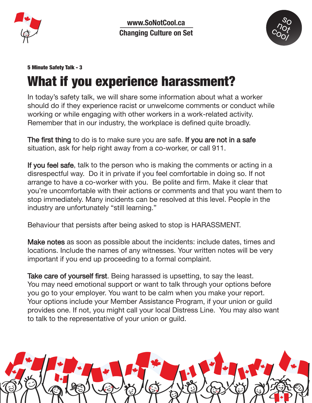

www.SoNotCool.ca **Changing Culture on Set**



## 5 Minute Safety Talk - 3

## What if you experience harassment?

In today's safety talk, we will share some information about what a worker should do if they experience racist or unwelcome comments or conduct while working or while engaging with other workers in a work-related activity. Remember that in our industry, the workplace is defined quite broadly.

The first thing to do is to make sure you are safe. If you are not in a safe situation, ask for help right away from a co-worker, or call 911.

If you feel safe, talk to the person who is making the comments or acting in a disrespectful way. Do it in private if you feel comfortable in doing so. If not arrange to have a co-worker with you. Be polite and firm. Make it clear that you're uncomfortable with their actions or comments and that you want them to stop immediately. Many incidents can be resolved at this level. People in the industry are unfortunately "still learning."

Behaviour that persists after being asked to stop is HARASSMENT.

Make notes as soon as possible about the incidents: include dates, times and locations. Include the names of any witnesses. Your written notes will be very important if you end up proceeding to a formal complaint.

Take care of yourself first. Being harassed is upsetting, to say the least. You may need emotional support or want to talk through your options before you go to your employer. You want to be calm when you make your report. Your options include your Member Assistance Program, if your union or guild provides one. If not, you might call your local Distress Line. You may also want to talk to the representative of your union or guild.